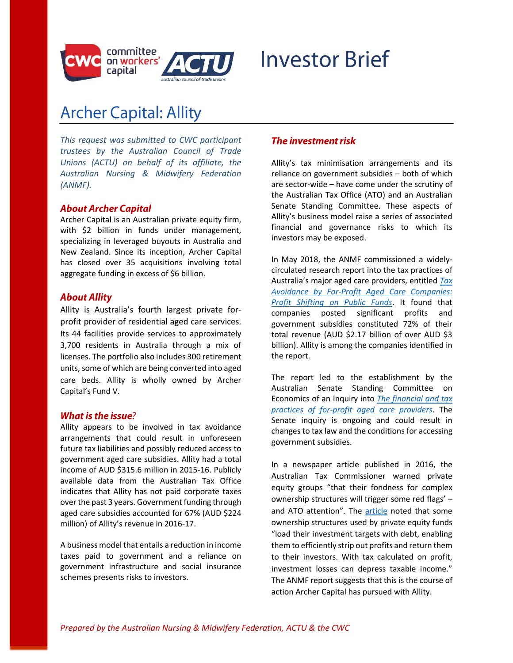

# **Investor Brief**

# **Archer Capital: Allity**

*This request was submitted to CWC participant trustees by the Australian Council of Trade Unions (ACTU) on behalf of its affiliate, the Australian Nursing & Midwifery Federation (ANMF).*

#### **About Archer Capital**

Archer Capital is an Australian private equity firm, with \$2 billion in funds under management, specializing in leveraged buyouts in Australia and New Zealand. Since its inception, Archer Capital has closed over 35 acquisitions involving total aggregate funding in excess of \$6 billion.

#### **About Allity**

Allity is Australia's fourth largest private forprofit provider of residential aged care services. Its 44 facilities provide services to approximately 3,700 residents in Australia through a mix of licenses. The portfolio also includes 300 retirement units, some of which are being converted into aged care beds. Allity is wholly owned by Archer Capital's Fund V.

#### What is the issue?

Allity appears to be involved in tax avoidance arrangements that could result in unforeseen future tax liabilities and possibly reduced access to government aged care subsidies. Allity had a total income of AUD \$315.6 million in 2015-16. Publicly available data from the Australian Tax Office indicates that Allity has not paid corporate taxes over the past 3 years. Government funding through aged care subsidies accounted for 67% (AUD \$224 million) of Allity's revenue in 2016-17.

A business model that entails a reduction in income taxes paid to government and a reliance on government infrastructure and social insurance schemes presents risks to investors.

#### The investment risk

Allity's tax minimisation arrangements and its reliance on government subsidies – both of which are sector-wide – have come under the scrutiny of the Australian Tax Office (ATO) and an Australian Senate Standing Committee. These aspects of Allity's business model raise a series of associated financial and governance risks to which its investors may be exposed.

In May 2018, the ANMF commissioned a widelycirculated research report into the tax practices of Australia's major aged care providers, entitled *[Tax](http://bit.ly/anmf-taxavoidancereport)  [Avoidance by For-Profit Aged Care Companies:](http://bit.ly/anmf-taxavoidancereport)  [Profit Shifting on Public Funds](http://bit.ly/anmf-taxavoidancereport)*. It found that companies posted significant profits and government subsidies constituted 72% of their total revenue (AUD \$2.17 billion of over AUD \$3 billion). Allity is among the companies identified in the report.

The report led to the establishment by the Australian Senate Standing Committee on Economics of an Inquiry into *[The financial and tax](https://www.aph.gov.au/Parliamentary_Business/Committees/Senate/Economics/Taxpractices-agedcare)  [practices of for-profit aged care providers](https://www.aph.gov.au/Parliamentary_Business/Committees/Senate/Economics/Taxpractices-agedcare)*. The Senate inquiry is ongoing and could result in changes to tax law and the conditions for accessing government subsidies.

In a newspaper article published in 2016, the Australian Tax Commissioner warned private equity groups "that their fondness for complex ownership structures will trigger some red flags' – and ATO attention". The [article](https://www.workerscapital.org/IMG/pdf/australian_tax_commissioner_article.pdfttps:/www.theaustralian.com.au/business/tax-commissioner-chris-jordan-warns-equity-firms/news-story/b0b37b4cfcbaea3a7a302fb8c8f218a9) noted that some ownership structures used by private equity funds "load their investment targets with debt, enabling them to efficiently strip out profits and return them to their investors. With tax calculated on profit, investment losses can depress taxable income." The ANMF report suggests that this is the course of action Archer Capital has pursued with Allity.